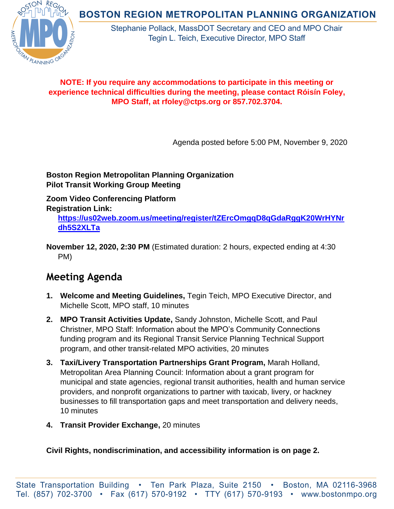**BOSTON REGION METROPOLITAN PLANNING ORGANIZATION** 



Stephanie Pollack, MassDOT Secretary and CEO and MPO Chair Tegin L. Teich, Executive Director, MPO Staff

## **NOTE: If you require any accommodations to participate in this meeting or experience technical difficulties during the meeting, please contact Róisín Foley, MPO Staff, at rfoley@ctps.org or 857.702.3704.**

Agenda posted before 5:00 PM, November 9, 2020

**Boston Region Metropolitan Planning Organization Pilot Transit Working Group Meeting**

**Zoom Video Conferencing Platform Registration Link:**

**[https://us02web.zoom.us/meeting/register/tZErcOmgqD8qGdaRggK20WrHYNr](https://us02web.zoom.us/meeting/register/tZErcOmgqD8qGdaRggK20WrHYNrdh5S2XLTa) [dh5S2XLTa](https://us02web.zoom.us/meeting/register/tZErcOmgqD8qGdaRggK20WrHYNrdh5S2XLTa)**

**November 12, 2020, 2:30 PM** (Estimated duration: 2 hours, expected ending at 4:30 PM)

## **Meeting Agenda**

- **1. Welcome and Meeting Guidelines,** Tegin Teich, MPO Executive Director, and Michelle Scott, MPO staff, 10 minutes
- **2. MPO Transit Activities Update,** Sandy Johnston, Michelle Scott, and Paul Christner, MPO Staff: Information about the MPO's Community Connections funding program and its Regional Transit Service Planning Technical Support program, and other transit-related MPO activities, 20 minutes
- **3. Taxi/Livery Transportation Partnerships Grant Program,** Marah Holland, Metropolitan Area Planning Council: Information about a grant program for municipal and state agencies, regional transit authorities, health and human service providers, and nonprofit organizations to partner with taxicab, livery, or hackney businesses to fill transportation gaps and meet transportation and delivery needs, 10 minutes
- **4. Transit Provider Exchange,** 20 minutes

**Civil Rights, nondiscrimination, and accessibility information is on page 2.**